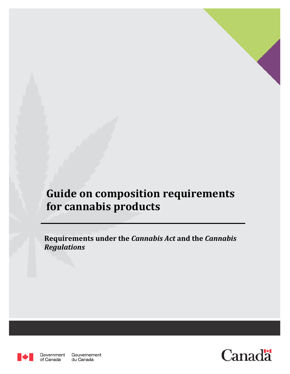# **Guide on composition requirements for cannabis products**

**Requirements under the** *Cannabis Act* **and the** *Cannabis Regulations*



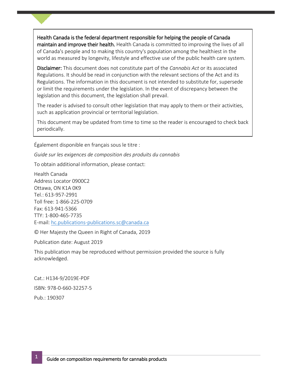Health Canada is the federal department responsible for helping the people of Canada maintain and improve their health. Health Canada is committed to improving the lives of all of Canada's people and to making this country's population among the healthiest in the world as measured by longevity, lifestyle and effective use of the public health care system.

Disclaimer: This document does not constitute part of the *Cannabis Act* or its associated Regulations. It should be read in conjunction with the relevant sections of the Act and its Regulations. The information in this document is not intended to substitute for, supersede or limit the requirements under the legislation. In the event of discrepancy between the legislation and this document, the legislation shall prevail.

The reader is advised to consult other legislation that may apply to them or their activities, such as application provincial or territorial legislation.

This document may be updated from time to time so the reader is encouraged to check back periodically.

Également disponible en français sous le titre :

*Guide sur les exigences de composition des produits du cannabis*

To obtain additional information, please contact:

Health Canada Address Locator 0900C2 Ottawa, ON K1A 0K9 Tel.: 613-957-2991 Toll free: 1-866-225-0709 Fax: 613-941-5366 TTY: 1-800-465-7735 E-mail: [hc.publications-publications.sc@canada.ca](mailto:hc.publications-publications.sc@canada.ca)

© Her Majesty the Queen in Right of Canada, 2019

Publication date: August 2019

This publication may be reproduced without permission provided the source is fully acknowledged.

Cat.: H134-9/2019E-PDF ISBN: 978-0-660-32257-5 Pub.: 190307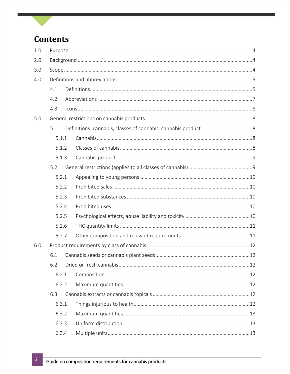# **Contents**

| 1.0 |       |  |  |  |  |  |  |
|-----|-------|--|--|--|--|--|--|
| 2.0 |       |  |  |  |  |  |  |
| 3.0 |       |  |  |  |  |  |  |
| 4.0 |       |  |  |  |  |  |  |
|     | 4.1   |  |  |  |  |  |  |
|     | 4.2   |  |  |  |  |  |  |
|     | 4.3   |  |  |  |  |  |  |
| 5.0 |       |  |  |  |  |  |  |
|     | 5.1   |  |  |  |  |  |  |
|     | 5.1.1 |  |  |  |  |  |  |
|     | 5.1.2 |  |  |  |  |  |  |
|     | 5.1.3 |  |  |  |  |  |  |
|     | 5.2   |  |  |  |  |  |  |
|     | 5.2.1 |  |  |  |  |  |  |
|     | 5.2.2 |  |  |  |  |  |  |
|     | 5.2.3 |  |  |  |  |  |  |
|     | 5.2.4 |  |  |  |  |  |  |
|     | 5.2.5 |  |  |  |  |  |  |
|     | 5.2.6 |  |  |  |  |  |  |
|     | 5.2.7 |  |  |  |  |  |  |
| 6.0 |       |  |  |  |  |  |  |
|     | 6.1   |  |  |  |  |  |  |
|     | 6.2   |  |  |  |  |  |  |
|     | 6.2.1 |  |  |  |  |  |  |
|     | 6.2.2 |  |  |  |  |  |  |
|     | 6.3   |  |  |  |  |  |  |
|     | 6.3.1 |  |  |  |  |  |  |
|     | 6.3.2 |  |  |  |  |  |  |
|     | 6.3.3 |  |  |  |  |  |  |
|     | 6.3.4 |  |  |  |  |  |  |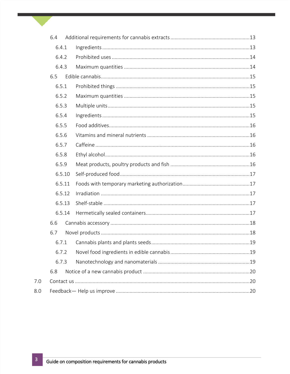| 6.4    |  |  |  |  |  |  |
|--------|--|--|--|--|--|--|
| 6.4.1  |  |  |  |  |  |  |
| 6.4.2  |  |  |  |  |  |  |
| 6.4.3  |  |  |  |  |  |  |
| 6.5    |  |  |  |  |  |  |
| 6.5.1  |  |  |  |  |  |  |
| 6.5.2  |  |  |  |  |  |  |
| 6.5.3  |  |  |  |  |  |  |
| 6.5.4  |  |  |  |  |  |  |
| 6.5.5  |  |  |  |  |  |  |
| 6.5.6  |  |  |  |  |  |  |
| 6.5.7  |  |  |  |  |  |  |
| 6.5.8  |  |  |  |  |  |  |
| 6.5.9  |  |  |  |  |  |  |
| 6.5.10 |  |  |  |  |  |  |
| 6.5.11 |  |  |  |  |  |  |
| 6.5.12 |  |  |  |  |  |  |
| 6.5.13 |  |  |  |  |  |  |
| 6.5.14 |  |  |  |  |  |  |
| 6.6    |  |  |  |  |  |  |
| 6.7    |  |  |  |  |  |  |
| 6.7.1  |  |  |  |  |  |  |
| 6.7.2  |  |  |  |  |  |  |
| 6.7.3  |  |  |  |  |  |  |
| 6.8    |  |  |  |  |  |  |
|        |  |  |  |  |  |  |
|        |  |  |  |  |  |  |

 $7.0\,$ 

 $8.0$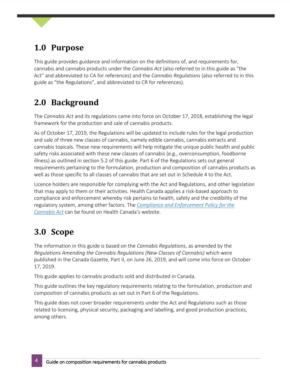# <span id="page-4-0"></span>**1.0 Purpose**

This guide provides guidance and information on the definitions of, and requirements for, cannabis and cannabis products under the *Cannabis Act* (also referred to in this guide as "the Act" and abbreviated to CA for references) and the *Cannabis Regulations* (also referred to in this guide as "the Regulations", and abbreviated to CR for references).

# <span id="page-4-1"></span>**2.0 Background**

The *Cannabis Act* and its regulations came into force on October 17, 2018, establishing the legal framework for the production and sale of cannabis products.

As of October 17, 2019, the Regulations will be updated to include rules for the legal production and sale of three new classes of cannabis, namely edible cannabis, cannabis extracts and cannabis topicals. These new requirements will help mitigate the unique public health and public safety risks associated with these new classes of cannabis (e.g., overconsumption, foodborne illness) as outlined in section 5.2 of this guide. Part 6 of the Regulations sets out general requirements pertaining to the formulation, production and composition of cannabis products as well as those specific to all classes of cannabis that are set out in Schedule 4 to the Act*.*

Licence holders are responsible for complying with the Act and Regulations, and other legislation that may apply to them or their activities. Health Canada applies a risk-based approach to compliance and enforcement whereby risk pertains to health, safety and the credibility of the regulatory system, among other factors. The *[Compliance and Enforcement Policy for the](https://www.canada.ca/en/health-canada/services/drugs-medication/cannabis/laws-regulations/compliance-enforcement-policy-cannabis-act/policy.html)  [Cannabis Act](https://www.canada.ca/en/health-canada/services/drugs-medication/cannabis/laws-regulations/compliance-enforcement-policy-cannabis-act/policy.html)* can be found on Health Canada's website.

# <span id="page-4-2"></span>**3.0 Scope**

The information in this guide is based on the *Cannabis Regulations*, as amended by the *Regulations Amending the Cannabis Regulations (New Classes of Cannabis)* which were published in the Canada Gazette, Part II, on June 26, 2019, and will come into force on October 17, 2019.

This guide applies to cannabis products sold and distributed in Canada.

This guide outlines the key regulatory requirements relating to the formulation, production and composition of cannabis products as set out in Part 6 of the Regulations.

This guide does not cover broader requirements under the Act and Regulation*s* such as those related to licensing, physical security, packaging and labelling, and good production practices, among others.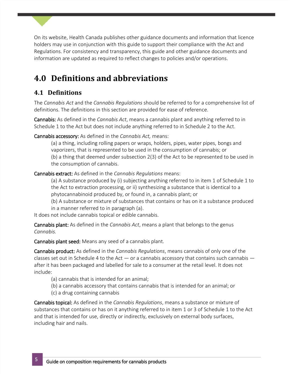On its website, Health Canada publishes other guidance documents and information that licence holders may use in conjunction with this guide to support their compliance with the Act and Regulations. For consistency and transparency, this guide and other guidance documents and information are updated as required to reflect changes to policies and/or operations.

# <span id="page-5-0"></span>**4.0 Definitions and abbreviations**

# <span id="page-5-1"></span>**4.1 Definitions**

The *Cannabis Act* and the *Cannabis Regulations* should be referred to for a comprehensive list of definitions. The definitions in this section are provided for ease of reference.

Cannabis: As defined in the *Cannabis Act*, means a cannabis plant and anything referred to in Schedule 1 to the Act but does not include anything referred to in Schedule 2 to the Act.

Cannabis accessory: As defined in the *Cannabis Act,* means:

(a) a thing, including rolling papers or wraps, holders, pipes, water pipes, bongs and vaporizers, that is represented to be used in the consumption of cannabis; or (b) a thing that deemed under subsection 2(3) of the Act to be represented to be used in the consumption of cannabis.

Cannabis extract: As defined in the *Cannabis Regulations* means:

(a) A substance produced by (i) subjecting anything referred to in item 1 of Schedule 1 to the Act to extraction processing, or ii) synthesizing a substance that is identical to a phytocannabinoid produced by, or found in, a cannabis plant; or

(b) A substance or mixture of substances that contains or has on it a substance produced in a manner referred to in paragraph (a).

It does not include cannabis topical or edible cannabis.

Cannabis plant: As defined in the *Cannabis Act*, means a plant that belongs to the genus *Cannabis.*

Cannabis plant seed: Means any seed of a cannabis plant.

Cannabis product: As defined in the *Cannabis Regulations*, means cannabis of only one of the classes set out in Schedule 4 to the Act  $-$  or a cannabis accessory that contains such cannabis  $$ after it has been packaged and labelled for sale to a consumer at the retail level. It does not include:

- (a) cannabis that is intended for an animal;
- (b) a cannabis accessory that contains cannabis that is intended for an animal; or
- (c) a drug containing cannabis

Cannabis topical: As defined in the *Cannabis Regulations*, means a substance or mixture of substances that contains or has on it anything referred to in item 1 or 3 of Schedule 1 to the Act and that is intended for use, directly or indirectly, exclusively on external body surfaces, including hair and nails.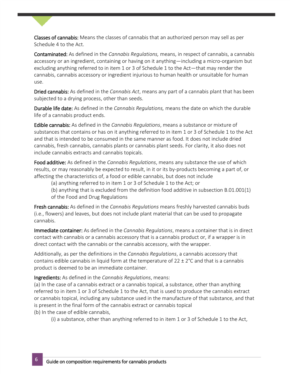Classes of cannabis: Means the classes of cannabis that an authorized person may sell as per Schedule 4 to the Act.

Contaminated: As defined in the *Cannabis Regulations,* means, in respect of cannabis, a cannabis accessory or an ingredient, containing or having on it anything—including a micro-organism but excluding anything referred to in item 1 or 3 of Schedule 1 to the Act—that may render the cannabis, cannabis accessory or ingredient injurious to human health or unsuitable for human use.

Dried cannabis: As defined in the *Cannabis Act*, means any part of a cannabis plant that has been subjected to a drying process, other than seeds.

Durable life date: As defined in the *Cannabis Regulations,* means the date on which the durable life of a cannabis product ends.

cannabis, fresh cannabis, cannabis plants or cannabis plant seeds. For clarity, it also does not Edible cannabis: As defined in the *Cannabis Regulations*, means a substance or mixture of substances that contains or has on it anything referred to in item 1 or 3 of Schedule 1 to the Act and that is intended to be consumed in the same manner as food. It does not include dried include cannabis extracts and cannabis topicals.

Food additive: As defined in the *Cannabis Regulations*, means any substance the use of which results, or may reasonably be expected to result, in it or its by-products becoming a part of, or affecting the characteristics of, a food or edible cannabis, but does not include

(a) anything referred to in item 1 or 3 of Schedule 1 to the Act; or

(b) anything that is excluded from the definition food additive in subsection B.01.001(1) of the Food and Drug Regulations

Fresh cannabis: As defined in the *Cannabis Regulations* means freshly harvested cannabis buds (i.e., flowers) and leaves, but does not include plant material that can be used to propagate cannabis.

Immediate container: As defined in the *Cannabis Regulations*, means a container that is in direct contact with cannabis or a cannabis accessory that is a cannabis product or, if a wrapper is in direct contact with the cannabis or the cannabis accessory, with the wrapper.

Additionally, as per the definitions in the *Cannabis Regulations*, a cannabis accessory that contains edible cannabis in liquid form at the temperature of 22  $\pm$  2°C and that is a cannabis product is deemed to be an immediate container.

#### Ingredients: As defined in the *Cannabis Regulations*, means:

(a) In the case of a cannabis extract or a cannabis topical, a substance, other than anything referred to in item 1 or 3 of Schedule 1 to the Act, that is used to produce the cannabis extract or cannabis topical, including any substance used in the manufacture of that substance, and that is present in the final form of the cannabis extract or cannabis topical (b) In the case of edible cannabis,

(i) a substance, other than anything referred to in item 1 or 3 of Schedule 1 to the Act,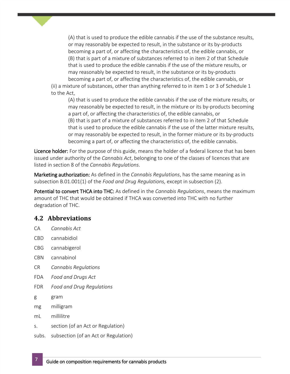(A) that is used to produce the edible cannabis if the use of the substance results, or may reasonably be expected to result, in the substance or its by-products becoming a part of, or affecting the characteristics of, the edible cannabis, or (B) that is part of a mixture of substances referred to in item 2 of that Schedule that is used to produce the edible cannabis if the use of the mixture results, or may reasonably be expected to result, in the substance or its by-products becoming a part of, or affecting the characteristics of, the edible cannabis, or (ii) a mixture of substances, other than anything referred to in item 1 or 3 of Schedule 1

to the Act,

(A) that is used to produce the edible cannabis if the use of the mixture results, or may reasonably be expected to result, in the mixture or its by-products becoming a part of, or affecting the characteristics of, the edible cannabis, or (B) that is part of a mixture of substances referred to in item 2 of that Schedule that is used to produce the edible cannabis if the use of the latter mixture results, or may reasonably be expected to result, in the former mixture or its by-products becoming a part of, or affecting the characteristics of, the edible cannabis.

Licence holder: For the purpose of this guide, means the holder of a federal licence that has been issued under authority of the *Cannabis Act*, belonging to one of the classes of licences that are listed in section 8 of the *Cannabis Regulations.*

Marketing authorization: As defined in the *Cannabis Regulations*, has the same meaning as in subsection B.01.001(1) of the *Food and Drug Regulations,* except in subsection (2).

Potential to convert THCA into THC: As defined in the *Cannabis Regulations*, means the maximum amount of THC that would be obtained if THCA was converted into THC with no further degradation of THC.

# <span id="page-7-0"></span>**4.2 Abbreviations**

- CA *Cannabis Act*
- CBD cannabidiol
- CBG cannabigerol
- CBN cannabinol
- CR *Cannabis Regulations*
- FDA *Food and Drugs Act*
- FDR *Food and Drug Regulations*
- g gram
- mg milligram
- mL millilitre
- s. section (of an Act or Regulation)
- subs. subsection (of an Act or Regulation)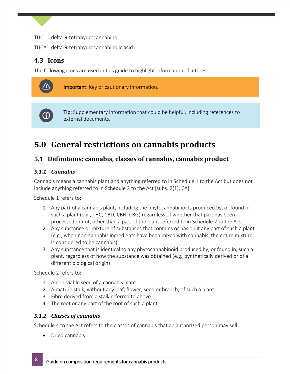- THC delta-9-tetrahydrocannabinol
- THCA delta-9-tetrahydrocannabinolic acid

# <span id="page-8-0"></span>**4.3 Icons**

The following icons are used in this guide to highlight information of interest.



**Important:** Key or cautionary information.



Tip: Supplementary information that could be helpful, including references to external documents.

# <span id="page-8-1"></span>5.0 General restrictions on cannabis products

# <span id="page-8-2"></span>**5.1 Definitions: cannabis, classes of cannabis, cannabis product**

## <span id="page-8-3"></span>*5.1.1 Cannabis*

Cannabis means a cannabis plant and anything referred to in Schedule 1 to the Act but does not include anything referred to in Schedule 2 to the Act [subs. 2(1), CA].

Schedule 1 refers to:

- 1. Any part of a cannabis plant, including the phytocannabinoids produced by, or found in, such a plant (e.g., THC, CBD, CBN, CBG) regardless of whether that part has been processed or not, other than a part of the plant referred to in Schedule 2 to the Act
- 2. Any substance or mixture of substances that contains or has on it any part of such a plant (e.g., when non-cannabis ingredients have been mixed with cannabis, the entire mixture is considered to be cannabis)
- 3. Any substance that is identical to any phytocannabinoid produced by, or found in, such a plant, regardless of how the substance was obtained (e.g., synthetically derived or of a different biological origin)

Schedule 2 refers to:

- 1. A non-viable seed of a cannabis plant
- 2. A mature stalk, without any leaf, flower, seed or branch, of such a plant
- 3. Fibre derived from a stalk referred to above
- 4. The root or any part of the root of such a plant

#### <span id="page-8-4"></span>*5.1.2 Classes of cannabis*

Schedule 4 to the Act refers to the classes of cannabis that an authorized person may sell:

• Dried cannabis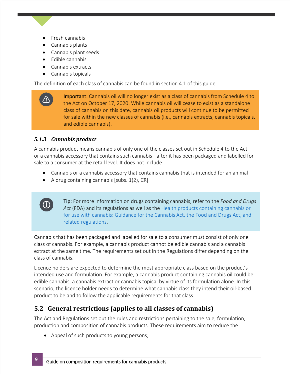- Fresh cannabis
- Cannabis plants
- Cannabis plant seeds
- Edible cannabis
- Cannabis extracts
- Cannabis topicals

The definition of each class of cannabis can be found in section 4.1 of this guide.

Important: Cannabis oil will no longer exist as a class of cannabis from Schedule 4 to the Act on October 17, 2020. While cannabis oil will cease to exist as a standalone class of cannabis on this date, cannabis oil products will continue to be permitted for sale within the new classes of cannabis (i.e., cannabis extracts, cannabis topicals, and edible cannabis).

# <span id="page-9-0"></span>*5.1.3 Cannabis product*

A cannabis product means cannabis of only one of the classes set out in Schedule 4 to the Act or a cannabis accessory that contains such cannabis - after it has been packaged and labelled for sale to a consumer at the retail level. It does not include:

- Cannabis or a cannabis accessory that contains cannabis that is intended for an animal
- A drug containing cannabis [subs.  $1(2)$ , CR]



Tip: For more information on drugs containing cannabis, refer to the *Food and Drugs Act* (FDA) and its regulations as well as the [Health products containing cannabis or](https://www.canada.ca/en/health-canada/services/drugs-health-products/drug-products/applications-submissions/guidance-documents/guidance-cannabis-act-food-and-drugs-act-related-regulations/document.html)  [for use with cannabis: Guidance for the Cannabis Act, the Food and Drugs Act, and](https://www.canada.ca/en/health-canada/services/drugs-health-products/drug-products/applications-submissions/guidance-documents/guidance-cannabis-act-food-and-drugs-act-related-regulations/document.html)  [related regulations.](https://www.canada.ca/en/health-canada/services/drugs-health-products/drug-products/applications-submissions/guidance-documents/guidance-cannabis-act-food-and-drugs-act-related-regulations/document.html)

Cannabis that has been packaged and labelled for sale to a consumer must consist of only one class of cannabis. For example, a cannabis product cannot be edible cannabis and a cannabis extract at the same time. The requirements set out in the Regulations differ depending on the class of cannabis.

Licence holders are expected to determine the most appropriate class based on the product's intended use and formulation. For example, a cannabis product containing cannabis oil could be edible cannabis, a cannabis extract or cannabis topical by virtue of its formulation alone. In this scenario, the licence holder needs to determine what cannabis class they intend their oil-based product to be and to follow the applicable requirements for that class.

# <span id="page-9-1"></span>**5.2 General restrictions (applies to all classes of cannabis)**

The Act and Regulations set out the rules and restrictions pertaining to the sale, formulation, production and composition of cannabis products. These requirements aim to reduce the:

• Appeal of such products to young persons;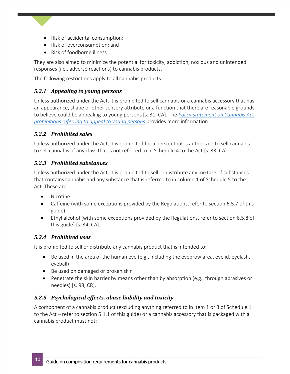- Risk of accidental consumption;
- Risk of overconsumption; and
- Risk of foodborne illness.

They are also aimed to minimize the potential for toxicity, addiction, noxious and unintended responses (i.e., adverse reactions) to cannabis products.

The following restrictions apply to all cannabis products:

# <span id="page-10-0"></span>*5.2.1 Appealing to young persons*

Unless authorized under the Act, it is prohibited to sell cannabis or a cannabis accessory that has an appearance, shape or other sensory attribute or a function that there are reasonable grounds to believe could be appealing to young persons [s. 31, CA]. The *[Policy statement on Cannabis Act](https://www.canada.ca/en/health-canada/services/cannabis-regulations-licensed-producers/prohibitions-referring-appeal-young-persons.html)  [prohibitions referring to appeal to young persons](https://www.canada.ca/en/health-canada/services/cannabis-regulations-licensed-producers/prohibitions-referring-appeal-young-persons.html)* provides more information.

# <span id="page-10-1"></span>*5.2.2 Prohibited sales*

Unless authorized under the Act, it is prohibited for a person that is authorized to sell cannabis to sell cannabis of any class that is not referred to in Schedule 4 to the Act [s. 33, CA].

# <span id="page-10-2"></span>*5.2.3 Prohibited substances*

Unless authorized under the Act, it is prohibited to sell or distribute any mixture of substances that contains cannabis and any substance that is referred to in column 1 of Schedule 5 to the Act. These are:

- Nicotine
- Caffeine (with some exceptions provided by the Regulations, refer to section 6.5.7 of this guide)
- Ethyl alcohol (with some exceptions provided by the Regulations, refer to section 6.5.8 of this guide) [s. 34, CA].

# <span id="page-10-3"></span>*5.2.4 Prohibited uses*

It is prohibited to sell or distribute any cannabis product that is intended to:

- Be used in the area of the human eye (e.g., including the eyebrow area, eyelid, eyelash, eyeball)
- Be used on damaged or broken skin
- Penetrate the skin barrier by means other than by absorption (e.g., through abrasives or needles) [s. 98, CR].

# <span id="page-10-4"></span>*5.2.5 Psychological effects, abuse liability and toxicity*

A component of a cannabis product (excluding anything referred to in item 1 or 3 of Schedule 1 to the Act – refer to section 5.1.1 of this guide) or a cannabis accessory that is packaged with a cannabis product must not: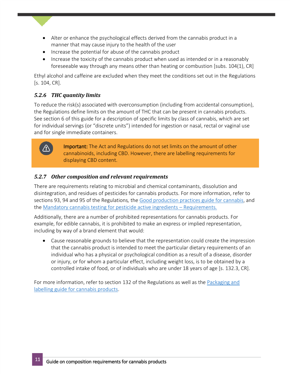- Alter or enhance the psychological effects derived from the cannabis product in a manner that may cause injury to the health of the user
- Increase the potential for abuse of the cannabis product
- Increase the toxicity of the cannabis product when used as intended or in a reasonably foreseeable way through any means other than heating or combustion [subs. 104(1), CR]

Ethyl alcohol and caffeine are excluded when they meet the conditions set out in the Regulations [s. 104, CR].

## <span id="page-11-0"></span>*5.2.6 THC quantity limits*

To reduce the risk(s) associated with overconsumption (including from accidental consumption), the Regulations define limits on the amount of THC that can be present in cannabis products. See section 6 of this guide for a description of specific limits by class of cannabis, which are set for individual servings (or "discrete units") intended for ingestion or nasal, rectal or vaginal use and for single immediate containers.



Important: The Act and Regulations do not set limits on the amount of other cannabinoids, including CBD. However, there are labelling requirements for displaying CBD content.

## <span id="page-11-1"></span>*5.2.7 Other composition and relevant requirements*

There are requirements relating to microbial and chemical contaminants, dissolution and disintegration, and residues of pesticides for cannabis products. For more information, refer to sections 93, 94 and 95 of the Regulations*,* the [Good production practices guide for cannabis](https://www.canada.ca/en/health-canada/services/cannabis-regulations-licensed-producers/good-production-practices-guide.html), and the [Mandatory cannabis testing for pesticide active ingredients](https://www.canada.ca/en/public-health/services/publications/drugs-health-products/cannabis-testing-pesticide-requirements.html) – Requirements*.*

Additionally, there are a number of prohibited representations for cannabis products. For example, for edible cannabis, it is prohibited to make an express or implied representation, including by way of a brand element that would:

 Cause reasonable grounds to believe that the representation could create the impression that the cannabis product is intended to meet the particular dietary requirements of an individual who has a physical or psychological condition as a result of a disease, disorder or injury, or for whom a particular effect, including weight loss, is to be obtained by a controlled intake of food, or of individuals who are under 18 years of age [s. 132.3, CR].

For more information, refer to section 132 of the Regulations as well as the [Packaging and](https://canada.ca/en/health-canada/services/cannabis-regulations-licensed-producers/packaging-labelling-guide-cannabis-products.html)  [labelling guide for cannabis products.](https://canada.ca/en/health-canada/services/cannabis-regulations-licensed-producers/packaging-labelling-guide-cannabis-products.html)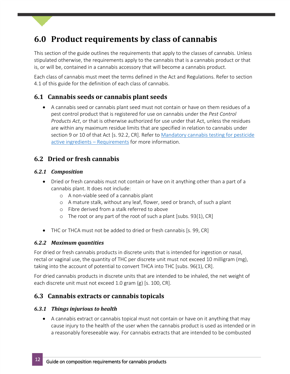# <span id="page-12-0"></span>**6.0 Product requirements by class of cannabis**

This section of the guide outlines the requirements that apply to the classes of cannabis. Unless stipulated otherwise, the requirements apply to the cannabis that is a cannabis product or that is, or will be, contained in a cannabis accessory that will become a cannabis product.

Each class of cannabis must meet the terms defined in the Act and Regulations. Refer to section 4.1 of this guide for the definition of each class of cannabis.

# <span id="page-12-1"></span>**6.1 Cannabis seeds or cannabis plant seeds**

 A cannabis seed or cannabis plant seed must not contain or have on them residues of a pest control product that is registered for use on cannabis under the *Pest Control Products Act*, or that is otherwise authorized for use under that Act, unless the residues are within any maximum residue limits that are specified in relation to cannabis under section 9 or 10 of that Act [s. 92.2, CR]. Refer to Mandatory cannabis testing for pesticide [active ingredients](https://www.canada.ca/en/public-health/services/publications/drugs-health-products/cannabis-testing-pesticide-requirements.html) – Requirements for more information.

# <span id="page-12-2"></span>**6.2 Dried or fresh cannabis**

## <span id="page-12-3"></span>*6.2.1 Composition*

- Dried or fresh cannabis must not contain or have on it anything other than a part of a cannabis plant. It does not include:
	- o A non-viable seed of a cannabis plant
	- o A mature stalk, without any leaf, flower, seed or branch, of such a plant
	- o Fibre derived from a stalk referred to above
	- o The root or any part of the root of such a plant [subs. 93(1), CR]
- THC or THCA must not be added to dried or fresh cannabis [s. 99, CR]

## <span id="page-12-4"></span>*6.2.2 Maximum quantities*

For dried or fresh cannabis products in discrete units that is intended for ingestion or nasal, rectal or vaginal use, the quantity of THC per discrete unit must not exceed 10 milligram (mg), taking into the account of potential to convert THCA into THC [subs. 96(1), CR].

For dried cannabis products in discrete units that are intended to be inhaled, the net weight of each discrete unit must not exceed 1.0 gram (g) [s. 100, CR].

# <span id="page-12-5"></span>**6.3 Cannabis extracts or cannabis topicals**

## <span id="page-12-6"></span>*6.3.1 Things injurious to health*

 A cannabis extract or cannabis topical must not contain or have on it anything that may cause injury to the health of the user when the cannabis product is used as intended or in a reasonably foreseeable way. For cannabis extracts that are intended to be combusted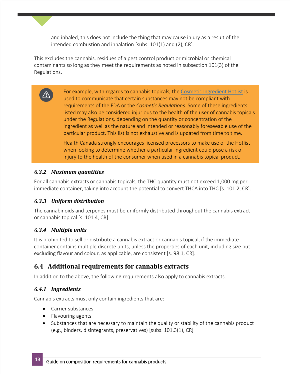and inhaled, this does not include the thing that may cause injury as a result of the intended combustion and inhalation [subs. 101(1) and (2), CR].

This excludes the cannabis, residues of a pest control product or microbial or chemical contaminants so long as they meet the requirements as noted in subsection 101(3) of the Regulations.

> For example, with regards to cannabis topicals, the [Cosmetic Ingredient Hotlist](https://www.canada.ca/en/health-canada/services/consumer-product-safety/cosmetics/cosmetic-ingredient-hotlist-prohibited-restricted-ingredients/hotlist.html) is used to communicate that certain substances may not be compliant with requirements of the FDA or the *Cosmetic Regulations*. Some of these ingredients listed may also be considered injurious to the health of the user of cannabis topicals under the Regulations*,* depending on the quantity or concentration of the ingredient as well as the nature and intended or reasonably foreseeable use of the particular product. This list is not exhaustive and is updated from time to time.

Health Canada strongly encourages licensed processors to make use of the Hotlist when looking to determine whether a particular ingredient could pose a risk of injury to the health of the consumer when used in a cannabis topical product.

## <span id="page-13-0"></span>*6.3.2 Maximum quantities*

For all cannabis extracts or cannabis topicals, the THC quantity must not exceed 1,000 mg per immediate container, taking into account the potential to convert THCA into THC [s. 101.2, CR].

## <span id="page-13-1"></span>*6.3.3 Uniform distribution*

The cannabinoids and terpenes must be uniformly distributed throughout the cannabis extract or cannabis topical [s. 101.4, CR].

# <span id="page-13-2"></span>*6.3.4 Multiple units*

It is prohibited to sell or distribute a cannabis extract or cannabis topical, if the immediate container contains multiple discrete units, unless the properties of each unit, including size but excluding flavour and colour, as applicable, are consistent [s. 98.1, CR].

# <span id="page-13-3"></span>**6.4 Additional requirements for cannabis extracts**

In addition to the above, the following requirements also apply to cannabis extracts.

# <span id="page-13-4"></span>*6.4.1 Ingredients*

Cannabis extracts must only contain ingredients that are:

- Carrier substances
- Flavouring agents
- Substances that are necessary to maintain the quality or stability of the cannabis product (e.g., binders, disintegrants, preservatives) [subs. 101.3(1), CR]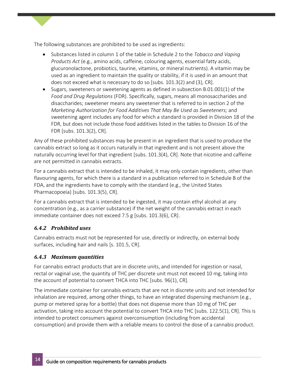The following substances are prohibited to be used as ingredients:

- Substances listed in column 1 of the table in Schedule 2 to the *Tobacco and Vaping Products Act* (e.g., amino acids, caffeine, colouring agents, essential fatty acids, glucuronolactone, probiotics, taurine, vitamins, or mineral nutrients). A vitamin may be used as an ingredient to maintain the quality or stability, if it is used in an amount that does not exceed what is necessary to do so [subs. 101.3(2) and (3), CR].
- $\bullet$  Sugars, sweeteners or sweetening agents as defined in subsection [B.01.001\(1\)](https://laws-lois.justice.gc.ca/eng/regulations/C.R.C.,_c._870/section-B.01.001.html) of the *Food and Drug Regulations* (FDR). Specifically, sugars, means all monosaccharides and disaccharides; sweetener means any sweetener that is referred to in section 2 of the *Marketing Authorization for Food Additives That May Be Used as Sweeteners;* and sweetening agent includes any food for which a standard is provided in Division 18 of the FDR, but does not include those food additives listed in the tables to Division 16 of the FDR [subs. 101.3(2), CR].

cannabis extract so long as it occurs naturally in that ingredient and is not present above the Any of these prohibited substances may be present in an ingredient that is used to produce the naturally occurring level for that ingredient [subs. 101.3(4), CR]. Note that nicotine and caffeine are not permitted in cannabis extracts.

For a cannabis extract that is intended to be inhaled, it may only contain ingredients, other than flavouring agents, for which there is a standard in a publication referred to in Schedule B of the FDA, and the ingredients have to comply with the standard (e.g., the United States Pharmacopoeia) [subs. 101.3(5), CR].

For a cannabis extract that is intended to be ingested,it may contain ethyl alcohol at any concentration (e.g., as a carrier substance) if the net weight of the cannabis extract in each immediate container does not exceed 7.5 g [subs. 101.3(6), CR].

## <span id="page-14-0"></span>*6.4.2 Prohibited uses*

Cannabis extracts must not be represented for use, directly or indirectly, on external body surfaces, including hair and nails [s. 101.5, CR].

## <span id="page-14-1"></span>*6.4.3 Maximum quantities*

For cannabis extract products that are in discrete units, and intended for ingestion or nasal, rectal or vaginal use, the quantity of THC per discrete unit must not exceed 10 mg, taking into the account of potential to convert THCA into THC [subs. 96(1), CR].

The immediate container for cannabis extracts that are not in discrete units and not intended for inhalation are required, among other things, to have an integrated dispensing mechanism (e.g., pump or metered spray for a bottle) that does not dispense more than 10 mg of THC per activation, taking into account the potential to convert THCA into THC [subs. 122.5(1), CR]. This is intended to protect consumers against overconsumption (including from accidental consumption) and provide them with a reliable means to control the dose of a cannabis product.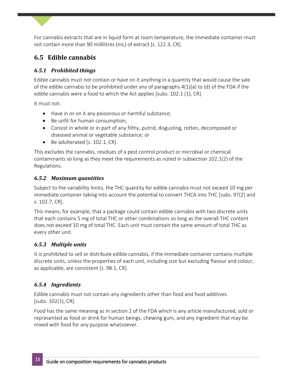For cannabis extracts that are in liquid form at room temperature, the immediate container must not contain more than 90 millilitres (mL) of extract [s. 122.3, CR].

# <span id="page-15-0"></span>**6.5 Edible cannabis**

# <span id="page-15-1"></span>*6.5.1 Prohibited things*

Edible cannabis must not contain or have on it anything in a quantity that would cause the sale of the edible cannabis to be prohibited under any of paragraphs 4(1)(a) to (d) of the FDA if the edible cannabis were a food to which the Act applies [subs. 102.1 (1), CR].

It must not:

- Have in or on it any poisonous or harmful substance;
- Be unfit for human consumption;
- Consist in whole or in part of any filthy, putrid, disgusting, rotten, decomposed or diseased animal or vegetable substance; or
- $\bullet$  Be adulterated [s. 102.1, CR].

This excludes the cannabis, residues of a pest control product or microbial or chemical contaminants so long as they meet the requirements as noted in subsection 102.1(2) of the Regulations.

# <span id="page-15-2"></span>*6.5.2 Maximum quantities*

Subject to the variability limits, the THC quantity for edible cannabis must not exceed 10 mg per immediate container taking into account the potential to convert THCA into THC [subs. 97(2) and s. 102.7, CR].

This means, for example, that a package could contain edible cannabis with two discrete units that each contains 5 mg of total THC or other combinations so long as the overall THC content does not exceed 10 mg of total THC. Each unit must contain the same amount of total THC as every other unit.

# <span id="page-15-3"></span>*6.5.3 Multiple units*

It is prohibited to sell or distribute edible cannabis, if the immediate container contains multiple discrete units, unless the properties of each unit, including size but excluding flavour and colour, as applicable, are consistent [s. 98.1, CR].

# <span id="page-15-4"></span>*6.5.4 Ingredients*

Edible cannabis must not contain any ingredients other than food and food additives [subs. 102(1), CR].

Food has the same meaning as in section 2 of the FDA which is any article manufactured, sold or represented as food or drink for human beings, chewing gum, and any ingredient that may be mixed with food for any purpose whatsoever.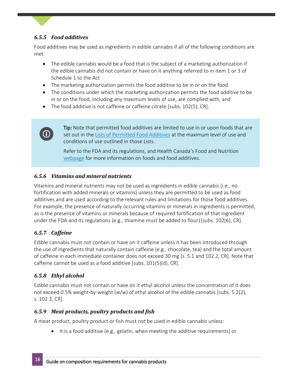# <span id="page-16-0"></span>*6.5.5 Food additives*

Food additives may be used as ingredients in edible cannabis if all of the following conditions are met:

- The edible cannabis would be a food that is the subject of a marketing authorization if the edible cannabis did not contain or have on it anything referred to in item 1 or 3 of Schedule 1 to the Act
- The marketing authorization permits the food additive to be in or on the food
- The conditions under which the marketing authorization permits the food additive to be in or on the food, including any maximum levels of use, are complied with, and
- The food additive is not caffeine or caffeine citrate [subs. 102(5), CR].



Tip: Note that permitted food additives are limited to use in or upon foods that are set out in the [Lists of Permitted Food Additives](https://www.canada.ca/en/health-canada/services/food-nutrition/food-safety/food-additives/lists-permitted.html) at the maximum level of use and conditions of use outlined in those Lists.

Refer to the FDA and its regulations, and Health Canada's Food and Nutrition [webpage](https://www.canada.ca/en/health-canada/services/food-nutrition.html) for more information on foods and food additives.

# <span id="page-16-1"></span>*6.5.6 Vitamins and mineral nutrients*

Vitamins and mineral nutrients may not be used as ingredients in edible cannabis (i.e., no fortification with added minerals or vitamins) unless they are permitted to be used as food additives and are used according to the relevant rules and limitations for those food additives. For example, the presence of naturally occurring vitamins or minerals in ingredients is permitted, as is the presence of vitamins or minerals because of required fortification of that ingredient under the FDA and its regulations (e.g., thiamine must be added to flour) [subs. 102(6), CR].

## <span id="page-16-2"></span>*6.5.7 Caffeine*

Edible cannabis must not contain or have on it caffeine unless it has been introduced through the use of ingredients that naturally contain caffeine (e.g., chocolate, tea) and the total amount of caffeine in each immediate container does not exceed 30 mg [s. 5.1 and 102.2, CR]. Note that caffeine cannot be used as a food additive [subs. 101(5)(d), CR].

# <span id="page-16-3"></span>*6.5.8 Ethyl alcohol*

Edible cannabis must not contain or have on it ethyl alcohol unless the concentration of it does not exceed 0.5% weight-by-weight (w/w) of ethyl alcohol of the edible cannabis [subs. 5.2(2), s. 102.3, CR].

## <span id="page-16-4"></span>*6.5.9 Meat products, poultry products and fish*

A meat product, poultry product or fish must not be used in edible cannabis unless:

It is a food additive (e.g., gelatin, when meeting the additive requirements) or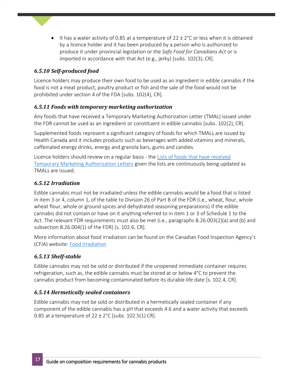It has a water activity of 0.85 at a temperature of 22  $\pm$  2°C or less when it is obtained by a licence holder and it has been produced by a person who is authorized to produce it under provincial legislation or the *Safe Food for Canadians Act* or is imported in accordance with that Act (e.g., jerky) [subs. 102(3), CR].

# <span id="page-17-0"></span>*6.5.10 Self-produced food*

Licence holders may produce their own food to be used as an ingredient in edible cannabis if the food is not a meat product, poultry product or fish and the sale of the food would not be prohibited under section 4 of the FDA [subs. 102(4), CR].

## <span id="page-17-1"></span>*6.5.11 Foods with temporary marketing authorization*

Any foods that have received a Temporary Marketing Authorization Letter (TMAL) issued under the FDR cannot be used as an ingredient or constituent in edible cannabis [subs. 102(2), CR].

caffeinated energy drinks, energy and granola bars, gums and candies. Supplemented foods represent a significant category of foods for which TMALs are issued by Health Canada and it includes products such as beverages with added vitamins and minerals,

Licence holders should review on a regular basis - the [Lists of foods that have received](https://www.canada.ca/en/health-canada/services/food-nutrition/legislation-guidelines/acts-regulations/lists-foods-that-have-received-temporary-marketing-authorization-letters.html)  [Temporary Marketing Authorization Letters](https://www.canada.ca/en/health-canada/services/food-nutrition/legislation-guidelines/acts-regulations/lists-foods-that-have-received-temporary-marketing-authorization-letters.html) given the lists are continuously being updated as TMALs are issued.

## <span id="page-17-2"></span>*6.5.12 Irradiation*

Edible cannabis must not be irradiated unless the edible cannabis would be a food that is listed in item 3 or 4, column 1, of the table to Division 26 of Part B of the FDR (i.e., wheat, flour, whole wheat flour, whole or ground spices and dehydrated seasoning preparations) if the edible cannabis did not contain or have on it anything referred to in item 1 or 3 of Schedule 1 to the Act. The relevant FDR requirements must also be met (i.e., paragraphs B.26.003(2)(a) and (b) and subsection B.26.004(1) of the FDR) [s. 102.6, CR].

More information about food irradiation can be found on the Canadian Food Inspection Agency's (CFIA) website: [Food Irradiation](https://www.canada.ca/en/health-canada/services/food-nutrition/food-safety/food-irradiation.html)

## <span id="page-17-3"></span>*6.5.13 Shelf-stable*

Edible cannabis may not be sold or distributed if the unopened immediate container requires refrigeration, such as, the edible cannabis must be stored at or below 4°C to prevent the cannabis product from becoming contaminated before its durable life date [s. 102.4, CR].

## <span id="page-17-4"></span>*6.5.14 Hermetically sealed containers*

Edible cannabis may not be sold or distributed in a hermetically sealed container if any component of the edible cannabis has a pH that exceeds 4.6 and a water activity that exceeds 0.85 at a temperature of  $22 \pm 2^{\circ}$ C [subs. 102.5(1) CR].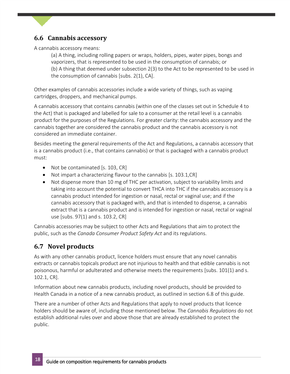# <span id="page-18-0"></span>**6.6 Cannabis accessory**

A cannabis accessory means:

(a) A thing, including rolling papers or wraps, holders, pipes, water pipes, bongs and vaporizers, that is represented to be used in the consumption of cannabis; or (b) A thing that deemed under subsection 2(3) to the Act to be represented to be used in the consumption of cannabis [subs. 2(1), CA].

Other examples of cannabis accessories include a wide variety of things, such as vaping cartridges, droppers, and mechanical pumps.

A cannabis accessory that contains cannabis (within one of the classes set out in Schedule 4 to the Act) that is packaged and labelled for sale to a consumer at the retail level is a cannabis product for the purposes of the Regulations. For greater clarity: the cannabis accessory and the cannabis together are considered the cannabis product and the cannabis accessory is not considered an immediate container.

Besides meeting the general requirements of the Act and Regulations, a cannabis accessory that is a cannabis product (i.e., that contains cannabis) or that is packaged with a cannabis product must:

- Not be contaminated [s. 103, CR]
- Not impart a characterizing flavour to the cannabis [s. 103.1,CR]
- Not dispense more than 10 mg of THC per activation, subject to variability limits and taking into account the potential to convert THCA into THC if the cannabis accessory is a cannabis product intended for ingestion or nasal, rectal or vaginal use; and if the cannabis accessory that is packaged with, and that is intended to dispense, a cannabis extract that is a cannabis product and is intended for ingestion or nasal, rectal or vaginal use [subs. 97(1) and s. 103.2, CR]

Cannabis accessories may be subject to other Acts and Regulations that aim to protect the public, such as the *Canada Consumer Product Safety Act* and its regulations.

# <span id="page-18-1"></span>**6.7 Novel products**

As with any other cannabis product, licence holders must ensure that any novel cannabis extracts or cannabis topicals product are not injurious to health and that edible cannabis is not poisonous, harmful or adulterated and otherwise meets the requirements [subs. 101(1) and s. 102.1, CR].

Information about new cannabis products, including novel products, should be provided to Health Canada in a notice of a new cannabis product, as outlined in section 6.8 of this guide.

There are a number of other Acts and Regulations that apply to novel products that licence holders should be aware of, including those mentioned below. The *Cannabis Regulations* do not establish additional rules over and above those that are already established to protect the public.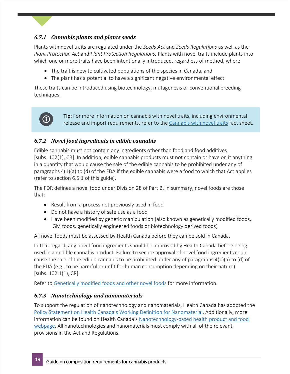# <span id="page-19-0"></span>*6.7.1 Cannabis plants and plants seeds*

Plants with novel traits are regulated under the *Seeds Act* and *Seeds Regulations* as well as the *Plant Protection Act* and *Plant Protection Regulations.* Plants with novel traits include plants into which one or more traits have been intentionally introduced, regardless of method, where

- The trait is new to cultivated populations of the species in Canada, and
- The plant has a potential to have a significant negative environmental effect

These traits can be introduced using biotechnology, mutagenesis or conventional breeding techniques.

# $\odot$

Tip: For more information on cannabis with novel traits, including environmental release and import requirements, refer to the [Cannabis with novel traits](http://www.inspection.gc.ca/plants/cannabis/regulation-of-cannabis/eng/1551112125696/1551112267912) fact sheet.

## <span id="page-19-1"></span>*6.7.2 Novel food ingredients in edible cannabis*

Edible cannabis must not contain any ingredients other than food and food additives [subs. 102(1), CR]. In addition, edible cannabis products must not contain or have on it anything in a quantity that would cause the sale of the edible cannabis to be prohibited under any of paragraphs 4(1)(a) to (d) of the FDA if the edible cannabis were a food to which that Act applies (refer to section 6.5.1 of this guide).

The FDR defines a novel food under Division 28 of Part B. In summary, novel foods are those that:

- Result from a process not previously used in food
- Do not have a history of safe use as a food
- Have been modified by genetic manipulation (also known as genetically modified foods, GM foods, genetically engineered foods or biotechnology derived foods)

All novel foods must be assessed by Health Canada before they can be sold in Canada.

In that regard, any novel food ingredients should be approved by Health Canada before being used in an edible cannabis product. Failure to secure approval of novel food ingredients could cause the sale of the edible cannabis to be prohibited under any of paragraphs 4(1)(a) to (d) of the FDA (e.g., to be harmful or unfit for human consumption depending on their nature) [subs. 102.1(1), CR].

Refer to [Genetically modified foods and other novel foods](https://www.canada.ca/en/health-canada/services/food-nutrition/genetically-modified-foods-other-novel-foods.html) for more information.

#### <span id="page-19-2"></span>*6.7.3 Nanotechnology and nanomaterials*

To support the regulation of nanotechnology and nanomaterials, Health Canada has adopted the [Policy Statement on Health Canada's Working Definition for Nanomaterial](https://www.canada.ca/en/health-canada/services/science-research/reports-publications/nanomaterial/policy-statement-health-canada-working-definition.html). Additionally, more information can be found on Health Canada's [Nanotechnology-based health product and food](https://www.canada.ca/en/health-canada/services/drugs-health-products/nanotechnology-based-health-products-food.html)  [webpage.](https://www.canada.ca/en/health-canada/services/drugs-health-products/nanotechnology-based-health-products-food.html) All nanotechnologies and nanomaterials must comply with all of the relevant provisions in the Act and Regulations.